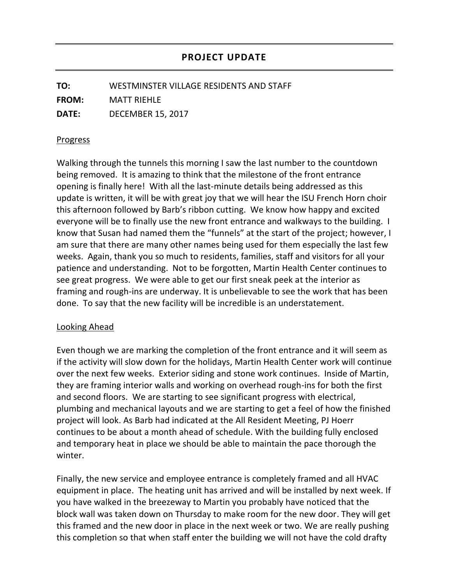**TO:** WESTMINSTER VILLAGE RESIDENTS AND STAFF **FROM:** MATT RIEHLE **DATE:** DECEMBER 15, 2017

## Progress

Walking through the tunnels this morning I saw the last number to the countdown being removed. It is amazing to think that the milestone of the front entrance opening is finally here! With all the last-minute details being addressed as this update is written, it will be with great joy that we will hear the ISU French Horn choir this afternoon followed by Barb's ribbon cutting. We know how happy and excited everyone will be to finally use the new front entrance and walkways to the building. I know that Susan had named them the "funnels" at the start of the project; however, I am sure that there are many other names being used for them especially the last few weeks. Again, thank you so much to residents, families, staff and visitors for all your patience and understanding. Not to be forgotten, Martin Health Center continues to see great progress. We were able to get our first sneak peek at the interior as framing and rough-ins are underway. It is unbelievable to see the work that has been done. To say that the new facility will be incredible is an understatement.

## Looking Ahead

Even though we are marking the completion of the front entrance and it will seem as if the activity will slow down for the holidays, Martin Health Center work will continue over the next few weeks. Exterior siding and stone work continues. Inside of Martin, they are framing interior walls and working on overhead rough-ins for both the first and second floors. We are starting to see significant progress with electrical, plumbing and mechanical layouts and we are starting to get a feel of how the finished project will look. As Barb had indicated at the All Resident Meeting, PJ Hoerr continues to be about a month ahead of schedule. With the building fully enclosed and temporary heat in place we should be able to maintain the pace thorough the winter.

Finally, the new service and employee entrance is completely framed and all HVAC equipment in place. The heating unit has arrived and will be installed by next week. If you have walked in the breezeway to Martin you probably have noticed that the block wall was taken down on Thursday to make room for the new door. They will get this framed and the new door in place in the next week or two. We are really pushing this completion so that when staff enter the building we will not have the cold drafty